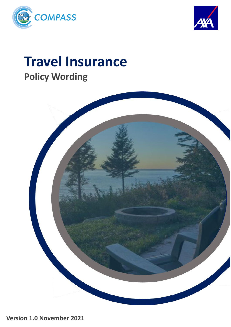



# **Travel Insurance Policy Wording**



**Version 1.0 November 2021**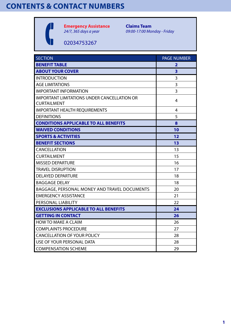# **CONTENTS & CONTACT NUMBERS**



**Emergency Assistance** *24/7, 365 days a year*

**Claims Team** *09:00-17:00 Monday - Friday*

02034753267

| <b>SECTION</b>                                                           | <b>PAGE NUMBER</b> |
|--------------------------------------------------------------------------|--------------------|
| <b>BENEFIT TABLE</b>                                                     | 2                  |
| <b>ABOUT YOUR COVER</b>                                                  | 3                  |
| <b>INTRODUCTION</b>                                                      | 3                  |
| <b>AGE LIMITATIONS</b>                                                   | 3                  |
| <b>IMPORTANT INFORMATION</b>                                             | 3                  |
| <b>IMPORTANT LIMITATIONS UNDER CANCELLATION OR</b><br><b>CURTAILMENT</b> | 4                  |
| <b>IMPORTANT HEALTH REQUIREMENTS</b>                                     | 4                  |
| <b>DEFINITIONS</b>                                                       | 5                  |
| <b>CONDITIONS APPLICABLE TO ALL BENEFITS</b>                             | 8                  |
| <b>WAIVED CONDITIONS</b>                                                 | 10                 |
| <b>SPORTS &amp; ACTIVITIES</b>                                           | 12                 |
| <b>BENEFIT SECTIONS</b>                                                  | 13                 |
| <b>CANCELLATION</b>                                                      | 13                 |
| <b>CURTAILMENT</b>                                                       | 15                 |
| <b>MISSED DEPARTURE</b>                                                  | 16                 |
| <b>TRAVEL DISRUPTION</b>                                                 | 17                 |
| <b>DELAYED DEPARTURE</b>                                                 | 18                 |
| <b>BAGGAGE DELAY</b>                                                     | 18                 |
| BAGGAGE, PERSONAL MONEY AND TRAVEL DOCUMENTS                             | 20                 |
| <b>EMERGENCY ASSISTANCE</b>                                              | 21                 |
| PERSONAL LIABILITY                                                       | 22                 |
| <b>EXCLUSIONS APPLICABLE TO ALL BENEFITS</b>                             | 24                 |
| <b>GETTING IN CONTACT</b>                                                | 26                 |
| <b>HOW TO MAKE A CLAIM</b>                                               | 26                 |
| <b>COMPLAINTS PROCEDURE</b>                                              | 27                 |
| <b>CANCELLATION OF YOUR POLICY</b>                                       | 28                 |
| USE OF YOUR PERSONAL DATA                                                | 28                 |
| <b>COMPENSATION SCHEME</b>                                               | 29                 |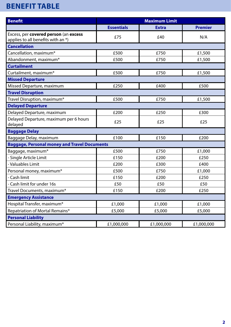# **BENEFIT TABLE**

| <b>Benefit</b>                                                              | <b>Maximum Limit</b> |              |                |
|-----------------------------------------------------------------------------|----------------------|--------------|----------------|
|                                                                             | <b>Essentials</b>    | <b>Extra</b> | <b>Premier</b> |
| Excess, per covered person (an excess<br>applies to all benefits with an *) | £75                  | £40          | N/A            |
| <b>Cancellation</b>                                                         |                      |              |                |
| Cancellation, maximum*                                                      | £500                 | £750         | £1,500         |
| Abandonment, maximum*                                                       | £500                 | £750         | £1,500         |
| <b>Curtailment</b>                                                          |                      |              |                |
| Curtailment, maximum*                                                       | £500                 | £750         | £1,500         |
| <b>Missed Departure</b>                                                     |                      |              |                |
| Missed Departure, maximum                                                   | £250                 | £400         | £500           |
| <b>Travel Disruption</b>                                                    |                      |              |                |
| Travel Disruption, maximum*                                                 | £500                 | £750         | £1,500         |
| <b>Delayed Departure</b>                                                    |                      |              |                |
| Delayed Departure, maximum                                                  | £200                 | £250         | £300           |
| Delayed Departure, maximum per 6 hours<br>delayed                           | £25                  | £25          | £25            |
| <b>Baggage Delay</b>                                                        |                      |              |                |
| Baggage Delay, maximum                                                      | £100                 | £150         | £200           |
| <b>Baggage, Personal money and Travel Documents</b>                         |                      |              |                |
| Baggage, maximum*                                                           | £500                 | £750         | £1,000         |
| - Single Article Limit                                                      | £150                 | £200         | £250           |
| - Valuables Limit                                                           | £200                 | £300         | £400           |
| Personal money, maximum*                                                    | £500                 | £750         | £1,000         |
| - Cash limit                                                                | £150                 | £200         | £250           |
| Cash limit for under 16s                                                    | £50                  | £50          | £50            |
| Travel Documents, maximum*                                                  | £150                 | £200         | £250           |
| <b>Emergency Assistance</b>                                                 |                      |              |                |
| Hospital Transfer, maximum*                                                 | £1,000               | £1,000       | £1,000         |
| Repatriation of Mortal Remains*                                             | £5,000               | £5,000       | £5,000         |
| <b>Personal Liability</b>                                                   |                      |              |                |
| Personal Liability, maximum*                                                | £1,000,000           | £1,000,000   | £1,000,000     |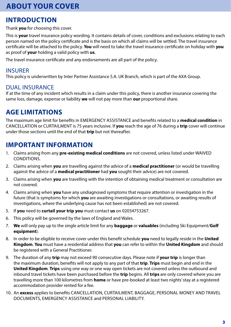### **INTRODUCTION**

Thank **you** for choosing this cover.

This is **your** travel insurance policy wording. It contains details of cover, conditions and exclusions relating to each person named on the policy certificate and is the basis on which all claims will be settled. The travel insurance certificate will be attached to the policy. **You** will need to take the travel insurance certificate on holiday with **you** as proof of **your** holding a valid policy with **us**.

The travel insurance certificate and any endorsements are all part of the policy.

#### INSURER

This policy is underwritten by Inter Partner Assistance S.A. UK Branch, which is part of the AXA Group.

#### DUAL INSURANCE

If at the time of any incident which results in a claim under this policy, there is another insurance covering the same loss, damage, expense or liability **we** will not pay more than **our** proportional share.

### **AGE LIMITATIONS**

The maximum age limit for benefits in EMERGENCY ASSISTANCE and benefits related to a **medical condition** in CANCELLATION or CURTAILMENT is 75 years inclusive. If **you** reach the age of 76 during a **trip** cover will continue under those sections until the end of that **trip** but not thereafter.

### **IMPORTANT INFORMATION**

- 1. Claims arising from any **pre-existing medical conditions** are not covered, unless listed under WAIVED CONDITIONS.
- 2. Claims arising when **you** are travelling against the advice of a **medical practitioner** (or would be travelling against the advice of a **medical practitioner** had **you** sought their advice) are not covered.
- 3. Claims arising when **you** are travelling with the intention of obtaining medical treatment or consultation are not covered.
- 4. Claims arising when **you** have any undiagnosed symptoms that require attention or investigation in the future (that is symptoms for which **you** are awaiting investigations or consultations, or awaiting results of investigations, where the underlying cause has not been established) are not covered.
- 5. If **you** need to **curtail your trip you** must contact **us** on 02034753267.
- 6. This policy will be governed by the laws of England and Wales.
- 7. **We** will only pay up to the single article limit for any **baggage** or **valuables** (including Ski Equipment/**Golf equipment**).
- 8. In order to be eligible to receive cover under this benefit schedule **you** need to legally reside in the **United Kingdom**. **You** must have a residential address that **you** can refer to within the **United Kingdom** and should be registered with a General Practitioner.
- 9. The duration of any **trip** may not exceed 90 consecutive days. Please note if **your trip** is longer than the maximum duration, benefits will not apply to any part of that **trip**. **Trips** must begin and end in the **United Kingdom**. **Trips** using one way or one way open tickets are not covered unless the outbound and inbound travel tickets have been purchased before the **trip** begins. All **trips** are only covered where you are travelling more than 100 kilometres from **home** or have pre-booked at least two nights' stay at a registered accommodation provider rented for a fee.
- 10. An **excess** applies to benefits CANCELLATION, CURTAILMENT, BAGGAGE, PERSONAL MONEY AND TRAVEL DOCUMENTS, EMERGENCY ASSISTANCE and PERSONAL LIABILITY.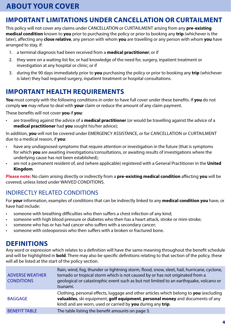### **IMPORTANT LIMITATIONS UNDER CANCELLATION OR CURTAILMENT**

This policy will not cover any claims under CANCELLATION or CURTAILMENT arising from any **pre-existing medical condition** known to **you** prior to purchasing the policy or prior to booking any **trip** (whichever is the later), affecting any **close relative**, any person with whom **you** are travelling or any person with whom **you** have arranged to stay, if:

- 1. a terminal diagnosis had been received from a **medical practitioner**; or if
- 2. they were on a waiting-list for, or had knowledge of the need for, surgery, inpatient treatment or investigation at any hospital or clinic; or if
- 3. during the 90 days immediately prior to **you** purchasing the policy or prior to booking any **trip** (whichever is later) they had required surgery, inpatient treatment or hospital consultations.

### **IMPORTANT HEALTH REQUIREMENTS**

**You** must comply with the following conditions in order to have full cover under these benefits. If **you** do not comply **we** may refuse to deal with **your** claim or reduce the amount of any claim payment.

These benefits will not cover **you** if **you**:

• are travelling against the advice of a **medical practitioner** (or would be travelling against the advice of a **medical practitioner** had **you** sought his/her advice);

In addition, **you** will not be covered under EMERGENCY ASSISTANCE, or for CANCELLATION or CURTAILMENT due to a medical reason, if **you**:

- have any undiagnosed symptoms that require attention or investigation in the future (that is symptoms for which **you** are awaiting investigations/consultations, or awaiting results of investigations where the underlying cause has not been established);
- are not a permanent resident of, and (where applicable) registered with a General Practitioner in the **United Kingdom**.

**Please note:** No claim arising directly or indirectly from a **pre-existing medical condition** affecting **you** will be covered, unless listed under WAIVED CONDITIONS.

#### INDIRECTLY RELATED CONDITIONS

For **your** information, examples of conditions that can be indirectly linked to any **medical condition you** have, or have had include:

- someone with breathing difficulties who then suffers a chest infection of any kind;
- someone with high blood pressure or diabetes who then has a heart attack, stroke or mini-stroke;
- someone who has or has had cancer who suffers with a secondary cancer;
- someone with osteoporosis who then suffers with a broken or fractured bone.

### **DEFINITIONS**

Any word or expression which relates to a definition will have the same meaning throughout the benefit schedule and will be highlighted in **bold**. There may also be specific definitions relating to that section of the policy, these will all be listed at the start of the policy section.

| <b>ADVERSE WEATHER</b><br><b>CONDITIONS</b> | Rain, wind, fog, thunder or lightning storm, flood, snow, sleet, hail, hurricane, cyclone,<br>tornado or tropical storm which is not caused by or has not originated from a<br>geological or catastrophic event such as but not limited to an earthquake, volcano or<br>tsunami. |
|---------------------------------------------|----------------------------------------------------------------------------------------------------------------------------------------------------------------------------------------------------------------------------------------------------------------------------------|
| <b>BAGGAGE</b>                              | Clothing, personal effects, luggage and other articles which belong to you (excluding<br>valuables, ski equipment, golf equipment, personal money and documents of any<br>kind) and are worn, used or carried by you during any trip.                                            |
| <b>BENEFIT TABLE</b>                        | The table listing the benefit amounts on page 3.                                                                                                                                                                                                                                 |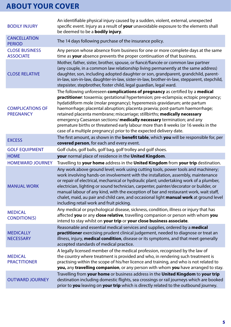| <b>BODILY INJURY</b>                        | An identifiable physical injury caused by a sudden, violent, external, unexpected<br>specific event. Injury as a result of your unavoidable exposure to the elements shall<br>be deemed to be a <b>bodily injury</b> .                                                                                                                                                                                                                                                                                                                                                                                                                             |
|---------------------------------------------|----------------------------------------------------------------------------------------------------------------------------------------------------------------------------------------------------------------------------------------------------------------------------------------------------------------------------------------------------------------------------------------------------------------------------------------------------------------------------------------------------------------------------------------------------------------------------------------------------------------------------------------------------|
| <b>CANCELLATION</b><br><b>PERIOD</b>        | The 14 days following purchase of the insurance policy.                                                                                                                                                                                                                                                                                                                                                                                                                                                                                                                                                                                            |
| <b>CLOSE BUSINESS</b><br><b>ASSOCIATE</b>   | Any person whose absence from business for one or more complete days at the same<br>time as your absence prevents the proper continuation of that business.                                                                                                                                                                                                                                                                                                                                                                                                                                                                                        |
| <b>CLOSE RELATIVE</b>                       | Mother, father, sister, brother, spouse, or fiancé/fiancée or common law partner<br>(any couple, in a common law relationship living permanently at the same address)<br>daughter, son, including adopted daughter or son, grandparent, grandchild, parent-<br>in-law, son-in-law, daughter-in-law, sister-in-law, brother-in-law, stepparent, stepchild,<br>stepsister, stepbrother, foster child, legal guardian, legal ward.                                                                                                                                                                                                                    |
| <b>COMPLICATIONS OF</b><br><b>PREGNANCY</b> | The following unforeseen complications of pregnancy as certified by a medical<br>practitioner: toxaemia; gestational hypertension; pre-eclampsia; ectopic pregnancy;<br>hydatidiform mole (molar pregnancy); hyperemesis gravidarum; ante partum<br>haemorrhage; placental abruption; placenta praevia; post-partum haemorrhage;<br>retained placenta membrane; miscarriage; stillbirths; medically necessary<br>emergency Caesarean sections/ medically necessary termination; and any<br>premature births or threatened early labour more than 8 weeks (or 16 weeks in the<br>case of a multiple pregnancy) prior to the expected delivery date. |
| <b>EXCESS</b>                               | The first amount, as shown in the <b>benefit table</b> , which you will be responsible for, per<br>covered person, for each and every event.                                                                                                                                                                                                                                                                                                                                                                                                                                                                                                       |
| <b>GOLF EQUIPMENT</b>                       | Golf clubs, golf balls, golf bag, golf trolley and golf shoes.                                                                                                                                                                                                                                                                                                                                                                                                                                                                                                                                                                                     |
| <b>HOME</b>                                 | your normal place of residence in the United Kingdom.                                                                                                                                                                                                                                                                                                                                                                                                                                                                                                                                                                                              |
| <b>HOMEWARD JOURNEY</b>                     | Travelling to your home address in the United Kingdom from your trip destination.                                                                                                                                                                                                                                                                                                                                                                                                                                                                                                                                                                  |
| <b>MANUAL WORK</b>                          | Any work above ground level; work using cutting tools, power tools and machinery;<br>work involving hands-on involvement with the installation, assembly, maintenance<br>or repair of electrical, mechanical or hydraulic plant; undertaking work of a plumber,<br>electrician, lighting or sound technician, carpenter, painter/decorator or builder, or<br>manual labour of any kind, with the exception of bar and restaurant work, wait staff,<br>chalet, maid, au pair and child care, and occasional light manual work at ground level<br>including retail work and fruit picking.                                                           |
| <b>MEDICAL</b><br><b>CONDITION(S)</b>       | Any medical or psychological disease, sickness, condition, illness or injury that has<br>affected you or any close relative, travelling companion or person with whom you<br>intend to stay whilst on your trip or your close business associate.                                                                                                                                                                                                                                                                                                                                                                                                  |
| <b>MEDICALLY</b><br><b>NECESSARY</b>        | Reasonable and essential medical services and supplies, ordered by a medical<br>practitioner exercising prudent clinical judgement, needed to diagnose or treat an<br>illness, injury, medical condition, disease or its symptoms, and that meet generally<br>accepted standards of medical practice.                                                                                                                                                                                                                                                                                                                                              |
| <b>MEDICAL</b><br><b>PRACTITIONER</b>       | A legally licensed member of the medical profession, recognised by the law of<br>the country where treatment is provided and who, in rendering such treatment is<br>practising within the scope of his/her licence and training, and who is not related to<br>you, any travelling companion, or any person with whom you have arranged to stay.                                                                                                                                                                                                                                                                                                    |
| <b>OUTWARD JOURNEY</b>                      | Travelling from your home or business address in the United Kingdom to your trip<br>destination including domestic flights, sea crossings or rail journeys which are booked<br>prior to you leaving on your trip which is directly related to the outbound journey.                                                                                                                                                                                                                                                                                                                                                                                |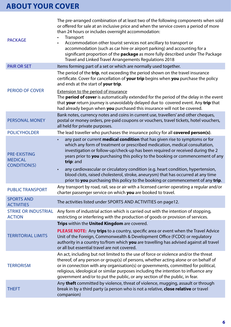| <b>PACKAGE</b>                                               | The pre-arranged combination of at least two of the following components when sold<br>or offered for sale at an inclusive price and when the service covers a period of more<br>than 24 hours or includes overnight accommodation:<br>Transport<br>Accommodation other tourist services not ancillary to transport or<br>accommodation (such as car hire or airport parking) and accounting for a<br>significant proportion of the <b>package</b> as more fully described under The Package<br>Travel and Linked Travel Arrangements Regulations 2018 |
|--------------------------------------------------------------|-------------------------------------------------------------------------------------------------------------------------------------------------------------------------------------------------------------------------------------------------------------------------------------------------------------------------------------------------------------------------------------------------------------------------------------------------------------------------------------------------------------------------------------------------------|
| <b>PAIR OR SET</b>                                           | Items forming part of a set or which are normally used together.                                                                                                                                                                                                                                                                                                                                                                                                                                                                                      |
|                                                              | The period of the trip, not exceeding the period shown on the travel insurance<br>certificate. Cover for cancellation of your trip begins when you purchase the policy<br>and ends at the start of your trip.                                                                                                                                                                                                                                                                                                                                         |
| <b>PERIOD OF COVER</b>                                       | <b>Extension to the period of insurance</b><br>The <b>period of cover</b> is automatically extended for the period of the delay in the event<br>that your return journey is unavoidably delayed due to covered event. Any trip that<br>had already begun when you purchased this insurance will not be covered.                                                                                                                                                                                                                                       |
| <b>PERSONAL MONEY</b>                                        | Bank notes, currency notes and coins in current use, travellers' and other cheques,<br>postal or money orders, pre-paid coupons or vouchers, travel tickets, hotel vouchers,<br>all held for private purposes.                                                                                                                                                                                                                                                                                                                                        |
| <b>POLICYHOLDER</b>                                          | The lead traveller who purchases the insurance policy for all covered person(s).                                                                                                                                                                                                                                                                                                                                                                                                                                                                      |
| <b>PRE-EXISTING</b><br><b>MEDICAL</b><br><b>CONDITION(S)</b> | any past or current medical condition that has given rise to symptoms or for<br>which any form of treatment or prescribed medication, medical consultation,<br>investigation or follow-up/check-up has been required or received during the 2<br>years prior to you purchasing this policy to the booking or commencement of any<br>trip: and<br>any cardiovascular or circulatory condition (e.g. heart condition, hypertension,                                                                                                                     |
|                                                              | blood clots, raised cholesterol, stroke, aneurysm) that has occurred at any time<br>prior to you purchasing this policy to the booking or commencement of any trip.                                                                                                                                                                                                                                                                                                                                                                                   |
| <b>PUBLIC TRANSPORT</b>                                      | Any transport by road, rail, sea or air with a licensed carrier operating a regular and/or<br>charter passenger service on which you are booked to travel.                                                                                                                                                                                                                                                                                                                                                                                            |
| <b>SPORTS AND</b><br><b>ACTIVITIES</b>                       | The activities listed under SPORTS AND ACTIVITIES on page12.                                                                                                                                                                                                                                                                                                                                                                                                                                                                                          |
| <b>STRIKE OR INDUSTRIAL</b><br><b>ACTION</b>                 | Any form of industrial action which is carried out with the intention of stopping,<br>restricting or interfering with the production of goods or provision of services.                                                                                                                                                                                                                                                                                                                                                                               |
|                                                              | Trips within the United Kingdom are covered.                                                                                                                                                                                                                                                                                                                                                                                                                                                                                                          |
| <b>TERRITORIAL LIMITS</b>                                    | PLEASE NOTE: Any trips to a country, specific area or event when the Travel Advice<br>Unit of the Foreign, Commonwealth & Development Office (FCDO) or regulatory<br>authority in a country to/from which you are travelling has advised against all travel<br>or all but essential travel are not covered.                                                                                                                                                                                                                                           |
| <b>TERRORISM</b>                                             | An act, including but not limited to the use of force or violence and/or the threat<br>thereof, of any person or group(s) of persons, whether acting alone or on behalf of<br>or in connection with any organisation(s) or governments, committed for political,<br>religious, ideological or similar purposes including the intention to influence any<br>government and/or to put the public, or any section of the public, in fear.                                                                                                                |
| <b>THEFT</b>                                                 | Any theft committed by violence, threat of violence, mugging, assault or through<br>break in by a third party (a person who is not a relative, close relative or travel<br>companion)                                                                                                                                                                                                                                                                                                                                                                 |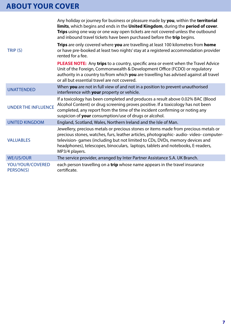|                               | Any holiday or journey for business or pleasure made by you, within the territorial<br>limits, which begins and ends in the United Kingdom, during the period of cover.<br>Trips using one way or one way open tickets are not covered unless the outbound<br>and inbound travel tickets have been purchased before the trip begins.                                |
|-------------------------------|---------------------------------------------------------------------------------------------------------------------------------------------------------------------------------------------------------------------------------------------------------------------------------------------------------------------------------------------------------------------|
| TRIP (S)                      | Trips are only covered where you are travelling at least 100 kilometres from home<br>or have pre-booked at least two nights' stay at a registered accommodation provider<br>rented for a fee.                                                                                                                                                                       |
|                               | PLEASE NOTE: Any trips to a country, specific area or event when the Travel Advice<br>Unit of the Foreign, Commonwealth & Development Office (FCDO) or regulatory<br>authority in a country to/from which you are travelling has advised against all travel<br>or all but essential travel are not covered.                                                         |
| <b>UNATTENDED</b>             | When you are not in full view of and not in a position to prevent unauthorised<br>interference with your property or vehicle.                                                                                                                                                                                                                                       |
| <b>UNDER THE INFLUENCE</b>    | If a toxicology has been completed and produces a result above 0.02% BAC (Blood<br>Alcohol Content) or drug screening proves positive. If a toxicology has not been<br>completed, any report from the time of the incident confirming or noting any<br>suspicion of your consumption/use of drugs or alcohol.                                                       |
| <b>UNITED KINGDOM</b>         | England, Scotland, Wales, Northern Ireland and the Isle of Man.                                                                                                                                                                                                                                                                                                     |
| <b>VALUABLES</b>              | Jewellery, precious metals or precious stones or items made from precious metals or<br>precious stones, watches, furs, leather articles, photographic- audio- video- computer-<br>television-games (including but not limited to CDs, DVDs, memory devices and<br>headphones), telescopes, binoculars, laptops, tablets and notebooks, E-readers,<br>MP3/4 players. |
| <b>WE/US/OUR</b>              | The service provider, arranged by Inter Partner Assistance S.A. UK Branch.                                                                                                                                                                                                                                                                                          |
| YOU/YOUR/COVERED<br>PERSON(S) | each person travelling on a trip whose name appears in the travel insurance<br>certificate.                                                                                                                                                                                                                                                                         |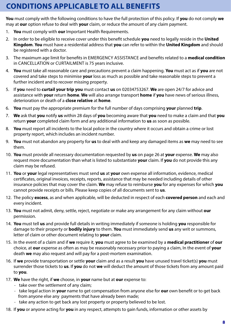# **CONDITIONS APPLICABLE TO ALL BENEFITS**

**You** must comply with the following conditions to have the full protection of this policy. If **you** do not comply **we** may at **our** option refuse to deal with **your** claim, or reduce the amount of any claim payment.

- 1. **You** must comply with **our** Important Health Requirements.
- 2. In order to be eligible to receive cover under this benefit schedule **you** need to legally reside in the **United Kingdom**. **You** must have a residential address that **you** can refer to within the **United Kingdom** and should be registered with a doctor.
- 3. The maximum age limit for benefits in EMERGENCY ASSISTANCE and benefits related to a **medical condition** in CANCELLATION or CURTAILMENT is 75 years inclusive.
- 4. **You** must take all reasonable care and precautions prevent a claim happening. **You** must act as if **you** are not covered and take steps to minimise **your** loss as much as possible and take reasonable steps to prevent a further incident and to recover missing property.
- 5. If **you** need to **curtail your trip you** must contact **us** on 02034753267. **We** are open 24/7 for advice and assistance with **your** return **home**. **We** will also arrange transport **home** if **you** have news of serious illness, deterioration or death of a **close relative** at **home**.
- 6. **You** must pay the appropriate premium for the full number of days comprising **your** planned **trip**.
- 7. **We** ask that **you** notify **us** within 28 days of **you** becoming aware that **you** need to make a claim and that **you** return **your** completed claim form and any additional information to **us** as soon as possible.
- 8. **You** must report all incidents to the local police in the country where it occurs and obtain a crime or lost property report, which includes an incident number.
- 9. **You** must not abandon any property for **us** to deal with and keep any damaged items as **we** may need to see them.
- 10. **You** must provide all necessary documentation requested by **us** on page 26 at **your** expense. **We** may also request more documentation than what is listed to substantiate **your** claim. If **you** do not provide this any claim may be refused.
- 11. **You** or **your** legal representatives must send **us** at **your** own expense all information, evidence, medical certificates, original invoices, receipts, reports, assistance that may be needed including details of other insurance policies that may cover the claim. **We** may refuse to reimburse **you** for any expenses for which **you** cannot provide receipts or bills. Please keep copies of all documents sent to **us**.
- 12. The policy **excess**, as and when applicable, will be deducted in respect of each **covered person** and each and every incident.
- 13. **You** must not admit, deny, settle, reject, negotiate or make any arrangement for any claim without **our** permission.
- 14. **You** must tell **us** and provide full details in writing immediately if someone is holding **you** responsible for damage to their property or **bodily injury** to them. **You** must immediately send **us** any writ or summons, letter of claim or other document relating to **your** claim.
- 15. In the event of a claim and if **we** require it, **you** must agree to be examined by a **medical practitioner** of **our** choice, at **our** expense as often as may be reasonably necessary prior to paying a claim, In the event of **your** death **we** may also request and will pay for a post-mortem examination.
- 16. If **we** provide transportation or settle **your** claim and as a result **you** have unused travel ticket(s) **you** must surrender those tickets to **us**. If **you** do not **we** will deduct the amount of those tickets from any amount paid to **you**.
- 17. **We** have the right, if **we** choose, in **your** name but at **our** expense to:
	- take over the settlement of any claim;
	- take legal action in **your** name to get compensation from anyone else for **our** own benefit or to get back from anyone else any payments that have already been made;
	- take any action to get back any lost property or property believed to be lost.
- 18. If **you** or anyone acting for **you** in any respect, attempts to gain funds, information or other assets by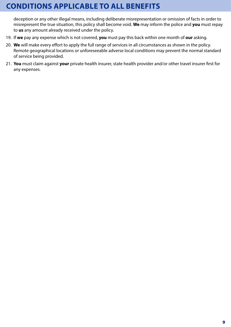# **CONDITIONS APPLICABLE TO ALL BENEFITS**

deception or any other illegal means, including deliberate misrepresentation or omission of facts in order to misrepresent the true situation, this policy shall become void. **We** may inform the police and **you** must repay to **us** any amount already received under the policy.

- 19. If **we** pay any expense which is not covered, **you** must pay this back within one month of **our** asking.
- 20. **We** will make every effort to apply the full range of services in all circumstances as shown in the policy. Remote geographical locations or unforeseeable adverse local conditions may prevent the normal standard of service being provided.
- 21. **You** must claim against **your** private health insurer, state health provider and/or other travel insurer first for any expenses.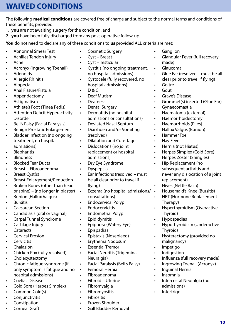# **WAIVED CONDITIONS**

The following **medical conditions** are covered free of charge and subject to the normal terms and conditions of these benefits, provided:

- 1. **you** are not awaiting surgery for the condition, and
- 2. **you** have been fully discharged from any post-operative follow-up.

**You** do not need to declare any of these conditions to **us** provided ALL criteria are met:

- Abnormal Smear Test
- Achilles Tendon Injury
- Acne
- Acronyx (Ingrowing Toenail)
- **Adenoids**
- Allergic Rhinitis
- Alopecia
- Anal Fissure/Fistula
- Appendectomy
- Astigmatism
- Athlete's Foot (Tinea Pedis)
- Attention Deficit Hyperactivity Disorder
- Bell's Palsy (Facial Paralysis)
- Benign Prostatic Enlargement
- Bladder Infection (no ongoing treatment, no hospital admissions)
- **Blepharitis**
- Blindness
- Blocked Tear Ducts
- Breast Fibroadenoma
- Breast Cyst(s)
- Breast Enlargement/Reduction
- Broken Bones (other than head or spine) – (no longer in plaster)
- Bunion (Hallux Valgus)
- Bursitis
- Caesarean Section
- Candidiasis (oral or vaginal)
- Carpal Tunnel Syndrome
- Cartilage Injury
- **Cataracts**
- Cervical Erosion
- **Cervicitis**
- Chalazion
- Chicken Pox (fully resolved)
- **Cholecystectomy**
- Chronic fatigue syndrome (if only symptom is fatigue and no hospital admissions)
- Coeliac Disease
- Cold Sore (Herpes Simplex)
- Common Cold(s)
- **Conjunctivitis**
- **Constipation**
- Corneal Graft
- Cosmetic Surgery
- Cyst Breast
- Cyst Testicular
- Cystitis (no ongoing treatment, no hospital admissions)
- Cystocele (fully recovered, no hospital admissions)
- $\cdot$  D&C
- Deaf Mutism
- Deafness
- Dental Surgery
- Dermatitis (no hospital admissions or consultations)
- Deviated Nasal Septum
- Diarrhoea and/or Vomiting (resolved)
- Dilatation and Curettage
- Dislocations (no joint replacement or hospital admissions)
- Dry Eye Syndrome
- Dyspepsia
- Ear Infections (resolved must be all clear prior to travel if flying)
- **•** Eczema (no hospital admissions/  $\cdot$ consultations)
- Endocervical Polyp
- Endocervicitis
- Endometrial Polyp
- Epididymitis
- Epiphora (Watery Eye)
- Epispadias
- Epistaxis (Nosebleed)
- Erythema Nodosum
- Essential Tremor
- Facial Neuritis (Trigeminal Neuralgia)
- Facial Paralysis (Bell's Palsy)
- Femoral Hernia
- Fibroadenoma
- Fibroid Uterine
- Fibromyalgia
- Fibromyositis
- Fibrositis
	- Frozen Shoulder
	- Gall Bladder Removal
- Ganglion
- Glandular Fever (full recovery made)
- Glaucoma
- Glue Ear (resolved must be all clear prior to travel if flying)
- **Goitre**
- Gout
- Grave's Disease
- Grommet(s) inserted (Glue Ear)
- Gynaecomastia
- Haematoma (external)
- Haemorrhoidectomy
- Haemorrhoids (Piles)
- Hallux Valgus (Bunion)
- Hammer Toe
- Hay Fever
- Hernia (not Hiatus)

• Hip Replacement (no

replacement) • Hives (Nettle Rash)

Therapy)

Thyroid) • Hypospadias

Thyroid)

• Impetigo • Indigestion

• Insomnia

• Intertrigo

malignancy)

• Inguinal Hernia

admissions)

• Herpes Simplex (Cold Sore) • Herpes Zoster (Shingles)

subsequent arthritis and

never any dislocation of a joint

• Housemaid's Knee (Bursitis) • HRT (Hormone Replacement

• Hyperthyroidism (Overactive

• Hypothyroidism (Underactive

• Hysterectomy (provided no

• Influenza (full recovery made) • Ingrowing Toenail (Acronyx)

• Intercostal Neuralgia (no

**10**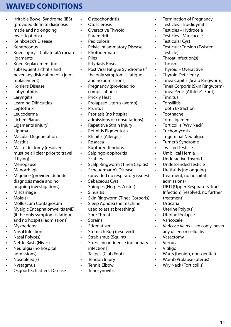# **WAIVED CONDITIONS**

- Irritable Bowel Syndrome (IBS) (provided definite diagnosis made and no ongoing investigations)
- Keinboeck's Disease
- Keratoconus
- Knee Injury Collateral/cruciate ligaments
- Knee Replacement (no subsequent arthritis and never any dislocation of a joint replacement)
- Kohler's Disease
- **Labyrinthitis**
- Laryngitis
- Learning Difficulties
- Leptothrix
- Leucoderma
- Lichen Planus
- Ligaments (injury)
- Lipoma
- Macular Degeneration
- **Mastitis**
- Mastoidectomy (resolved must be all clear prior to travel if flying)
- Menopause
- Menorrhagia
- Migraine (provided definite diagnosis made and no ongoing investigations)
- Miscarriage
- Mole(s)
- Molluscum Contagiosum
- Myalgic Encephalomyelitis (ME) (if the only symptom is fatigue and no hospital admissions)
- Myxoedema
- Nasal Infection
- Nasal Polyp(s)
- Nettle Rash (Hives)
- Neuralgia (no hospital admissions)
- Nosebleed(s)
- Nystagmus
- Osgood-Schlatter's Disease
- Osteochondritis
- Otosclerosis
- Overactive Thyroid
- Parametritis
- Pediculosis
- Pelvic Inflammatory Disease
- Photodermatosis
- Piles
- Pityriasis Rosea
- Post Viral Fatigue Syndrome (if the only symptom is fatigue and no admissions)
- Pregnancy (provided no complications)
- Prickly Heat
- Prolapsed Uterus (womb)
- Pruritus
- Psoriasis (no hospital admissions or consultations)
- Repetitive Strain Injury
- Retinitis Pigmentosa
- Rhinitis (Allergic)
- Rosacea
- Ruptured Tendons
- Salpingo-oophoritis
- Scabies
- Scalp Ringworm (Tinea Capitis)
- Scheuermann's Disease (provided no respiratory issues)
- Sebaceous Cyst
- Shingles (Herpes Zoster)
- Sinusitis
- Skin Ringworm (Tinea Corporis)
- Sleep Apnoea (no machine used to assist breathing)
- Sore Throat
- Sprains
- **Stigmatism**
- Stomach Bug (resolved)
- Strabismus (Squint)
- Stress Incontinence (no urinary infections)
- Talipes (Club Foot)
- Tendon Injury
- Tennis Elbow
- Tenosynovitis
- Termination of Pregnancy
- Testicles Epididymitis
- Testicles Hydrocele
- Testicles Varicocele
- Testicular Cyst
- Testicular Torsion (Twisted Testicle)
- Throat Infection(s)
- Thrush
- Thyroid Overactive
- Thyroid Deficiency
- Tinea Capitis (Scalp Ringworm)
- Tinea Corporis (Skin Ringworm)
- Tinea Pedis (Athlete's Foot)
- Tinnitus
- Tonsillitis
- **Tooth Extraction**
- Toothache
- Torn Ligament
- Torticollis (Wry Neck)
- **Trichomycosis**
- Trigeminal Neuralgia
- Turner's Syndrome
- Twisted Testicle
- Umbilical Hernia
- Underactive Thyroid
- Undescended Testicle
- Urethritis (no ongoing treatment, no hospital admissions)

Uterine Polyp(s) • Uterine Prolapse

any ulcers or cellulitis

• Warts (benign, non-genital) • Womb Prolapse (uterus) • Wry Neck (Torticollis)

• Varicocele

• Vasectomy • Verruca • Vitiligo

• URTI (Upper Respiratory Tract Infection) (resolved, no further treatment) • Urticaria

• Varicose Veins – legs only, never

**11**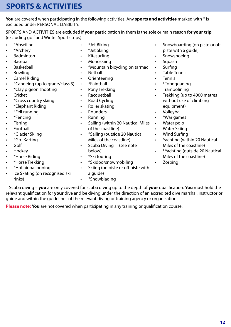# **SPORTS & ACTIVITIES**

**You** are covered when participating in the following activities. Any **sports and activities** marked with \* is excluded under PERSONAL LIABILITY.

SPORTS AND ACTIVITIES are excluded if **your** participation in them is the sole or main reason for **your trip** (excluding golf and Winter Sports trips).

- \*Abseiling
- \*Archery
- Badminton
- **Baseball**
- **Basketball**
- **Bowling**
- Camel Riding
- \*Canoeing (up to grade/class 3)
- \*Clay pigeon shooting
- Cricket
- \*Cross country skiing
- \*Elephant Riding
- \*Fell running
- \*Fencing
- Fishing
- **Football**
- \*Glacier Skiing
- \*Go- Karting
- Golf
- Hockey
- \*Horse Riding
- \*Horse Trekking
- \*Hot air ballooning
- Ice Skating (on recognised ski rinks)
- \*Jet Biking
- \*Jet Skiing
- Kitesurfing
- Monoskiing
- \*Mountain bicycling on tarmac
- Netball
- Orienteering
- \*Paintball
- Pony Trekking
- Racquetball
- Road Cycling
- Roller skating
- Rounders
- Running
- Sailing (within 20 Nautical Miles of the coastline)
- \*Sailing (outside 20 Nautical Miles of the coastline)
- Scuba Diving † (see note below)
- \*Ski touring
- \*Skidoo/snowmobiling
- Skiing (on piste or off piste with a guide)
- Snowboarding (on piste or off piste with a guide)
- Snowshoeing
- Squash
- **Surfing**
- Table Tennis
- **Tennis**
- \*Tobogganing
- Trampolining
- Trekking (up to 4000 metres without use of climbing equipment)
- Volleyball
- \*War games
- Water polo
- Water Skiing
- Wind Surfing
- Yachting (within 20 Nautical Miles of the coastline)
- \*Yachting (outside 20 Nautical Miles of the coastline)
- Zorbing

• \*Snowblading

† Scuba diving – **you** are only covered for scuba diving up to the depth of **your** qualification. **You** must hold the relevant qualification for **your** dive and be diving under the direction of an accredited dive marshal, instructor or guide and within the guidelines of the relevant diving or training agency or organisation.

**Please note: You** are not covered when participating in any training or qualification course.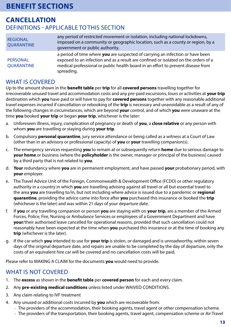### **CANCELLATION** DEFINITIONS - APPLICABLE TO THIS SECTION

| <b>REGIONAL</b><br><b>QUARANTINE</b> | any period of restricted movement or isolation, including national lockdowns,<br>imposed on a community or geographic location, such as a county or region, by a<br>government or public authority.                                                                     |
|--------------------------------------|-------------------------------------------------------------------------------------------------------------------------------------------------------------------------------------------------------------------------------------------------------------------------|
| <b>PERSONAL</b><br><b>QUARANTINE</b> | a period of time where you are suspected of carrying an infection or have been<br>exposed to an infection and as a result are confined or isolated on the orders of a<br>medical professional or public health board in an effort to prevent disease from<br>spreading. |

#### WHAT IS COVERED

Up to the amount shown in the **benefit table** per **trip** for all **covered persons** travelling together for irrecoverable unused travel and accommodation costs and any pre-paid excursions, tours or activities at **your trip** destination which **you** have paid or will have to pay for **covered persons** together with any reasonable additional travel expenses incurred if cancellation or rebooking of the **trip** is necessary and unavoidable as a result of any of the following changes in circumstances, which are beyond **your** control, and of which **you** were unaware at the time **you** booked **your trip** or began **your trip**, whichever is the later:

- a. Unforeseen illness, injury, complication of pregnancy or death of **you**, a **close relative** or any person with whom **you** are travelling or staying during **your trip**.
- b. Compulsory **personal quarantine**, jury service attendance or being called as a witness at a Court of Law (other than in an advisory or professional capacity) of **you** or **your** travelling companion(s).
- c. The emergency services requesting **you** to remain at or subsequently return **home** due to serious damage to **your home** or business (where the **policyholder** is the owner, manager or principal of the business) caused by a third party that is not related to **you**.
- d. **Your** redundancy where **you** are in permanent employment, and have passed **your** probationary period, with **your** employer.
- e. The Travel Advice Unit of the Foreign, Commonwealth & Development Office (FCDO) or other regulatory authority in a country in which **you** are travelling advising against all travel or all but essential travel to the area **you** are travelling to/in, but not including where advice is issued due to a pandemic or **regional quarantine**, providing the advice came into force after **you** purchased this insurance or booked the **trip** (whichever is the later) and was within 21 days of your departure date.
- f. If **you** or any travelling companion or person **you** are staying with on **your trip**, are a member of the Armed Forces, Police, Fire, Nursing or Ambulance Services or employees of a Government Department and have **your**/their authorised leave cancelled for operational reasons, provided that such cancellation could not reasonably have been expected at the time when **you** purchased this insurance or at the time of booking any **trip** (whichever is the later).
- g. If the car which **you** intended to use for **your trip** is stolen, or damaged and is unroadworthy, within seven days of the original departure date, and repairs are unable to be completed by the day of departure, only the costs of an equivalent hire car will be covered and no cancellation costs will be paid.

Please refer to MAKING A CLAIM for the documents **you** would need to provide.

#### WHAT IS NOT COVERED

- 1. The **excess** as shown in the **benefit table** per **covered person** for each and every claim.
- 2. Any **pre-existing medical conditions** unless listed under WAIVED CONDITIONS.
- 3. Any claim relating to IVF treatment
- 4. Any unused or additional costs incurred by **you** which are recoverable from:
	- The providers of the accommodation, their booking agents, travel agent or other compensation scheme.
	- The providers of the transportation, their booking agents, travel agent, compensation scheme or Air Travel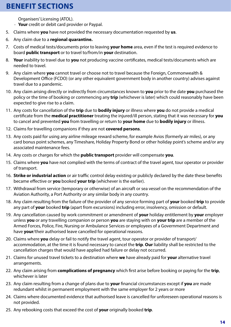Organisers' Licensing (ATOL).

- **Your** credit or debit card provider or Paypal.
- 5. Claims where **you** have not provided the necessary documentation requested by **us**.
- 6. Any claim due to a **regional quarantine.**
- 7. Costs of medical tests/documents prior to leaving **your home** area, even if the test is required evidence to board **public transport** or to travel to/from/in **your** destination.
- 8. **Your** inability to travel due to **you** not producing vaccine certificates, medical tests/documents which are needed to travel.
- 9. Any claim where **you** cannot travel or choose not to travel because the Foreign, Commonwealth & Development Office (FCDO) (or any other equivalent government body in another country) advises against travel due to a pandemic.
- 10. Any claim arising directly or indirectly from circumstances known to **you** prior to the date **you** purchased the policy or the time of booking or commencing any **trip** (whichever is later) which could reasonably have been expected to give rise to a claim.
- 11. Any costs for cancellation of the **trip** due to **bodily injury** or illness where **you** do not provide a medical certificate from the **medical practitioner** treating the injured/ill person, stating that it was necessary for **you** to cancel and prevented **you** from travelling or return to **your home** due to **bodily injury** or illness.
- 12. Claims for travelling companions if they are not **covered persons**.
- 13. Any costs paid for using any airline mileage reward scheme, for example Avios (formerly air miles), or any card bonus point schemes, any Timeshare, Holiday Property Bond or other holiday point's scheme and/or any associated maintenance fees.
- 14. Any costs or charges for which the **public transport** provider will compensate **you**.
- 15. Claims where **you** have not complied with the terms of contract of the travel agent, tour operator or provider of transport.
- 16. **Strike or industrial action** or air traffic control delay existing or publicly declared by the date these benefits became effective or **you** booked **your trip** (whichever is the earlier).
- 17. Withdrawal from service (temporary or otherwise) of an aircraft or sea vessel on the recommendation of the Aviation Authority, a Port Authority or any similar body in any country.
- 18. Any claim resulting from the failure of the provider of any service forming part of **your** booked **trip** to provide any part of **your** booked **trip** (apart from excursions) including error, insolvency, omission or default.
- 19. Any cancellation caused by work commitment or amendment of **your** holiday entitlement by **your** employer unless **you** or any travelling companion or person **you** are staying with on **your trip** are a member of the Armed Forces, Police, Fire, Nursing or Ambulance Services or employees of a Government Department and have **your**/their authorised leave cancelled for operational reasons.
- 20. Claims where **you** delay or fail to notify the travel agent, tour operator or provider of transport/ accommodation, at the time it is found necessary to cancel the **trip**. **Our** liability shall be restricted to the cancellation charges that would have applied had failure or delay not occurred.
- 21. Claims for unused travel tickets to a destination where **we** have already paid for **your** alternative travel arrangements.
- 22. Any claim arising from **complications of pregnancy** which first arise before booking or paying for the **trip**, whichever is later
- 23. Any claim resulting from a change of plans due to **your** financial circumstances except if **you** are made redundant whilst in permanent employment with the same employer for 2 years or more
- 24. Claims where documented evidence that authorised leave is cancelled for unforeseen operational reasons is not provided.
- 25. Any rebooking costs that exceed the cost of **your** originally booked **trip**.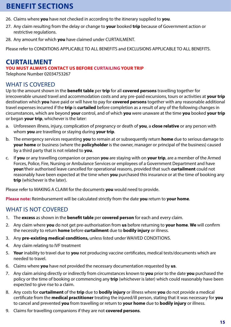- 26. Claims where **you** have not checked in according to the itinerary supplied to **you**.
- 27. Any claim resulting from the delay or change to **your** booked **trip** because of Government action or restrictive regulations.
- 28. Any amount for which **you** have claimed under CURTAILMENT.

Please refer to CONDITIONS APPLICABLE TO ALL BENEFITS and EXCLUSIONS APPLICABLE TO ALL BENEFITS.

### **CURTAILMENT**

#### **YOU MUST ALWAYS CONTACT US BEFORE CURTAILING YOUR TRIP**

Telephone Number 02034753267

#### WHAT IS COVERED

Up to the amount shown in the **benefit table** per **trip** for all **covered persons** travelling together for irrecoverable unused travel and accommodation costs and any pre-paid excursions, tours or activities at **your trip** destination which **you** have paid or will have to pay for **covered persons** together with any reasonable additional travel expenses incurred if the **trip** is **curtailed** before completion as a result of any of the following changes in circumstances, which are beyond **your** control, and of which **you** were unaware at the time **you** booked **your trip** or began **your trip**, whichever is the later:

- a. Unforeseen illness, injury, complication of pregnancy or death of **you**, a **close relative** or any person with whom **you** are travelling or staying during **your trip**.
- b. The emergency services requesting **you** to remain at or subsequently return **home** due to serious damage to **your home** or business (where the **policyholder** is the owner, manager or principal of the business) caused by a third party that is not related to **you**.
- c. If **you** or any travelling companion or person **you** are staying with on **your trip**, are a member of the Armed Forces, Police, Fire, Nursing or Ambulance Services or employees of a Government Department and have **your**/their authorised leave cancelled for operational reasons, provided that such **curtailment** could not reasonably have been expected at the time when **you** purchased this insurance or at the time of booking any **trip** (whichever is the later).

Please refer to MAKING A CLAIM for the documents **you** would need to provide.

**Please note:** Reimbursement will be calculated strictly from the date **you** return to **your home**.

#### WHAT IS NOT COVERED

- 1. The **excess** as shown in the **benefit table** per **covered person** for each and every claim.
- 2. Any claim where **you** do not get pre-authorisation from **us** before returning to **your home**. **We** will confirm the necessity to return **home** before **curtailment** due to **bodily injury** or illness.
- 3. Any **pre-existing medical conditions,** unless listed under WAIVED CONDITIONS.
- 4. Any claim relating to IVF treatment
- 5. **Your** inability to travel due to **you** not producing vaccine certificates, medical tests/documents which are needed to travel.
- 6. Claims where **you** have not provided the necessary documentation requested by **us**.
- 7. Any claim arising directly or indirectly from circumstances known to **you** prior to the date **you** purchased the policy or the time of booking or commencing any **trip** (whichever is later) which could reasonably have been expected to give rise to a claim.
- 8. Any costs for **curtailment** of the **trip** due to **bodily injury** or illness where **you** do not provide a medical certificate from the **medical practitioner** treating the injured/ill person, stating that it was necessary for **you** to cancel and prevented **you** from travelling or return to **your home** due to **bodily injury** or illness.
- 9. Claims for travelling companions if they are not **covered persons**.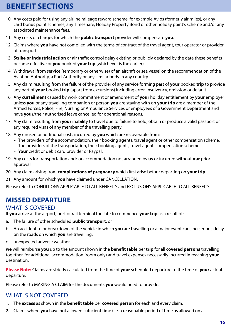- 10. Any costs paid for using any airline mileage reward scheme, for example Avios (formerly air miles), or any card bonus point schemes, any Timeshare, Holiday Property Bond or other holiday point's scheme and/or any associated maintenance fees.
- 11. Any costs or charges for which the **public transport** provider will compensate **you**.
- 12. Claims where **you** have not complied with the terms of contract of the travel agent, tour operator or provider of transport.
- 13. **Strike or industrial action** or air traffic control delay existing or publicly declared by the date these benefits became effective or **you** booked **your trip** (whichever is the earlier).
- 14. Withdrawal from service (temporary or otherwise) of an aircraft or sea vessel on the recommendation of the Aviation Authority, a Port Authority or any similar body in any country.
- 15. Any claim resulting from the failure of the provider of any service forming part of **your** booked **trip** to provide any part of **your** booked **trip** (apart from excursions) including error, insolvency, omission or default.
- 16. Any **curtailment** caused by work commitment or amendment of **your** holiday entitlement by **your** employer unless **you** or any travelling companion or person **you** are staying with on **your trip** are a member of the Armed Forces, Police, Fire, Nursing or Ambulance Services or employees of a Government Department and have **your**/their authorised leave cancelled for operational reasons.
- 17. Any claim resulting from **your** inability to travel due to failure to hold, obtain or produce a valid passport or any required visas of any member of the travelling party.
- 18. Any unused or additional costs incurred by **you** which are recoverable from:
	- The providers of the accommodation, their booking agents, travel agent or other compensation scheme.
	- The providers of the transportation, their booking agents, travel agent, compensation scheme.
	- **Your** credit or debit card provider or Paypal.
- 19. Any costs for transportation and/ or accommodation not arranged by **us** or incurred without **our** prior approval.
- 20. Any claim arising from **complications of pregnancy** which first arise before departing on **your trip**.
- 21. Any amount for which **you** have claimed under CANCELLATION.

Please refer to CONDITIONS APPLICABLE TO ALL BENEFITS and EXCLUSIONS APPLICABLE TO ALL BENEFITS.

### **MISSED DEPARTURE**

#### WHAT IS COVERED

If **you** arrive at the airport, port or rail terminal too late to commence **your trip** as a result of:

- a. The failure of other scheduled **public transport**; or
- b. An accident to or breakdown of the vehicle in which **you** are travelling or a major event causing serious delay on the roads on which **you** are travelling;
- c. unexpected adverse weather

**we** will reimburse **you** up to the amount shown in the **benefit table** per **trip** for all **covered persons** travelling together, for additional accommodation (room only) and travel expenses necessarily incurred in reaching **your** destination.

**Please Note:** Claims are strictly calculated from the time of **your** scheduled departure to the time of **your** actual departure.

Please refer to MAKING A CLAIM for the documents **you** would need to provide.

#### WHAT IS NOT COVERED

- 1. The **excess** as shown in the **benefit table** per **covered person** for each and every claim.
- 2. Claims where **you** have not allowed sufficient time (i.e. a reasonable period of time as allowed on a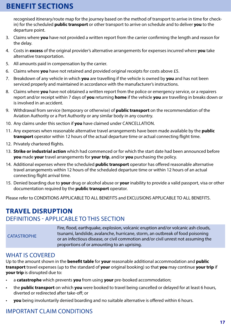recognised itinerary/route map for the journey based on the method of transport to arrive in time for checkin) for the scheduled **public transport** or other transport to arrive on schedule and to deliver **you** to the departure point.

- 3. Claims where **you** have not provided a written report from the carrier confirming the length and reason for the delay.
- 4. Costs in **excess** of the original provider's alternative arrangements for expenses incurred where **you** take alternative transportation.
- 5. All amounts paid in compensation by the carrier.
- 6. Claims where **you** have not retained and provided original receipts for costs above £5.
- 7. Breakdown of any vehicle in which **you** are travelling if the vehicle is owned by **you** and has not been serviced properly and maintained in accordance with the manufacturer's instructions.
- 8. Claims where **you** have not obtained a written report from the police or emergency service, or a repairers report and/or receipt within 7 days of **you** returning **home** if the vehicle **you** are travelling in breaks down or is involved in an accident.
- 9. Withdrawal from service (temporary or otherwise) of **public transport** on the recommendation of the Aviation Authority or a Port Authority or any similar body in any country.
- 10. Any claims under this section if **you** have claimed under CANCELLATION.
- 11. Any expenses when reasonable alternative travel arrangements have been made available by the **public transport** operator within 12 hours of the actual departure time or actual connecting flight time.
- 12. Privately chartered flights.
- 13. **Strike or industrial action** which had commenced or for which the start date had been announced before **you** made **your** travel arrangements for **your trip**, and/or **you** purchasing the policy.
- 14. Additional expenses where the scheduled **public transport** operator has offered reasonable alternative travel arrangements within 12 hours of the scheduled departure time or within 12 hours of an actual connecting flight arrival time.
- 15. Denied boarding due to **your** drug or alcohol abuse or **your** inability to provide a valid passport, visa or other documentation required by the **public transport** operator.

Please refer to CONDITIONS APPLICABLE TO ALL BENEFITS and EXCLUSIONS APPLICABLE TO ALL BENEFITS.

### **TRAVEL DISRUPTION** DEFINITIONS - APPLICABLE TO THIS SECTION

CATASTROPHE

Fire, flood, earthquake, explosion, volcanic eruption and/or volcanic ash clouds, tsunami, landslide, avalanche, hurricane, storm, an outbreak of food poisoning or an infectious disease, or civil commotion and/or civil unrest not assuming the proportions of or amounting to an uprising.

#### WHAT IS COVERED

Up to the amount shown in the **benefit table** for **your** reasonable additional accommodation and **public transport** travel expenses (up to the standard of **your** original booking) so that **you** may continue **your trip** if **your trip** is disrupted due to:

- a **catastrophe** which prevents **you** from using **your** pre-booked accommodation;
- the **public transport** on which **you** were booked to travel being cancelled or delayed for at least 6 hours, diverted or redirected after take-off; or
- **you** being involuntarily denied boarding and no suitable alternative is offered within 6 hours.

### IMPORTANT CLAIM CONDITIONS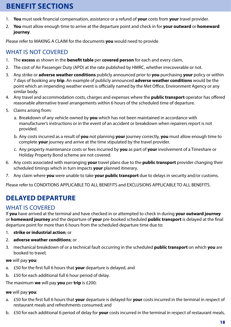- 1. **You** must seek financial compensation, assistance or a refund of **your** costs from **your** travel provider.
- 2. **You** must allow enough time to arrive at the departure point and check in for **your outward** or **homeward journey**.

Please refer to MAKING A CLAIM for the documents **you** would need to provide

### WHAT IS NOT COVERED

- 1. The **excess** as shown in the **benefit table** per **covered person** for each and every claim.
- 2. The cost of Air Passenger Duty (APD) at the rate published by HMRC, whether irrecoverable or not.
- 3. Any strike or **adverse weather conditions** publicly announced prior to **you** purchasing **your** policy or within 7 days of booking any **trip**. An example of publicly announced **adverse weather conditions** would be the point which an impending weather event is officially named by the Met Office, Environment Agency or any similar body.
- 4. Any travel and accommodation costs, charges and expenses where the **public transport** operator has offered reasonable alternative travel arrangements within 6 hours of the scheduled time of departure.
- 5. Claims arising from:
	- a. Breakdown of any vehicle owned by **you** which has not been maintained in accordance with manufacturer's instructions or in the event of an accident or breakdown when repairers report is not provided.
	- b. Any costs incurred as a result of **you** not planning **your** journey correctly, **you** must allow enough time to complete **your** journey and arrive at the time stipulated by the travel provider.
	- c. Any property maintenance costs or fees incurred by **you** as part of **your** involvement of a Timeshare or Holiday Property Bond scheme are not covered.
- 6. Any costs associated with rearranging **your** travel plans due to the **public transport** provider changing their scheduled timings which in turn impacts **your** planned itinerary.
- 7. Any claim where **you** were unable to take **your public transport** due to delays in security and/or customs.

Please refer to CONDITIONS APPLICABLE TO ALL BENEFITS and EXCLUSIONS APPLICABLE TO ALL BENEFITS.

### **DELAYED DEPARTURE**

#### WHAT IS COVERED

If **you** have arrived at the terminal and have checked in or attempted to check in during **your outward journey** or **homeward journey** and the departure of **your** pre-booked scheduled **public transport** is delayed at the final departure point for more than 6 hours from the scheduled departure time due to:

- 1. **strike or industrial action**; or
- 2. **adverse weather conditions**; or
- 3. mechanical breakdown of or a technical fault occurring in the scheduled **public transport** on which **you** are booked to travel;

**we** will pay **you**:

- a. £50 for the first full 6 hours that **your** departure is delayed, and
- b. £50 for each additional full 6 hour period of delay.

The maximum **we** will pay **you** per **trip** is £200;

#### **we** will pay **you**:

- a. £50 for the first full 6 hours that **your** departure is delayed for **your** costs incurred in the terminal in respect of restaurant meals and refreshments consumed; and
- b. £50 for each additional 6 period of delay for **your** costs incurred in the terminal in respect of restaurant meals,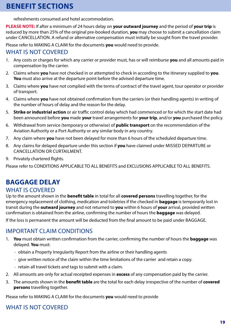refreshments consumed and hotel accommodation.

**PLEASE NOTE:** If after a minimum of 24 hours delay on **your outward journey** and the period of **your trip** is reduced by more than 25% of the original pre-booked duration, **you** may choose to submit a cancellation claim under CANCELLATION. A refund or alternative compensation must initially be sought from the travel provider.

Please refer to MAKING A CLAIM for the documents **you** would need to provide.

#### WHAT IS NOT COVERED

- 1. Any costs or charges for which any carrier or provider must, has or will reimburse **you** and all amounts paid in compensation by the carrier.
- 2. Claims where **you** have not checked in or attempted to check in according to the itinerary supplied to **you**. **You** must also arrive at the departure point before the advised departure time.
- 3. Claims where **you** have not complied with the terms of contract of the travel agent, tour operator or provider of transport.
- 4. Claims where **you** have not obtained confirmation from the carriers (or their handling agents) in writing of the number of hours of delay and the reason for the delay.
- 5. **Strike or industrial action** or air traffic control delay which had commenced or for which the start date had been announced before **you** made **your** travel arrangements for **your trip**, and/or **you** purchased the policy.
- 6. Withdrawal from service (temporary or otherwise) of **public transport** on the recommendation of the Aviation Authority or a Port Authority or any similar body in any country.
- 7. Any claim where **you** have not been delayed for more than 6 hours of the scheduled departure time.
- 8. Any claims for delayed departure under this section if **you** have claimed under MISSED DEPARTURE or CANCELLATION OR CURTAILMENT.
- 9. Privately chartered flights.

Please refer to CONDITIONS APPLICABLE TO ALL BENEFITS and EXCLUSIONS APPLICABLE TO ALL BENEFITS.

### **BAGGAGE DELAY**

#### WHAT IS COVERED

Up to the amount shown in the **benefit table** in total for all **covered persons** travelling together, for the emergency replacement of clothing, medication and toiletries if the checked in **baggage** is temporarily lost in transit during the **outward journey** and not returned to **you** within 6 hours of **your** arrival, provided written confirmation is obtained from the airline, confirming the number of hours the **baggage** was delayed.

If the loss is permanent the amount will be deducted from the final amount to be paid under BAGGAGE.

#### IMPORTANT CLAIM CONDITIONS

- 1. **You** must obtain written confirmation from the carrier, confirming the number of hours the **baggage** was delayed. **You** must:
	- obtain a Property Irregularity Report from the airline or their handling agents
	- give written notice of the claim within the time limitations of the carrier and retain a copy.
	- retain all travel tickets and tags to submit with a claim.
- 2. All amounts are only for actual receipted expenses in **excess** of any compensation paid by the carrier.
- 3. The amounts shown in the **benefit table** are the total for each delay irrespective of the number of **covered persons** travelling together.

Please refer to MAKING A CLAIM for the documents **you** would need to provide

#### WHAT IS NOT COVERED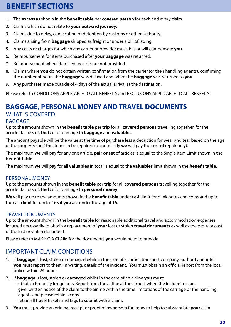- 1. The **excess** as shown in the **benefit table** per **covered person** for each and every claim.
- 2. Claims which do not relate to **your outward journey**.
- 3. Claims due to delay, confiscation or detention by customs or other authority.
- 4. Claims arising from **baggage** shipped as freight or under a bill of lading.
- 5. Any costs or charges for which any carrier or provider must, has or will compensate **you**.
- 6. Reimbursement for items purchased after **your baggage** was returned.
- 7. Reimbursement where itemised receipts are not provided.
- 8. Claims where **you** do not obtain written confirmation from the carrier (or their handling agents), confirming the number of hours the **baggage** was delayed and when the **baggage** was returned to **you**.
- 9. Any purchases made outside of 4 days of the actual arrival at the destination.

Please refer to CONDITIONS APPLICABLE TO ALL BENEFITS and EXCLUSIONS APPLICABLE TO ALL BENEFITS.

### **BAGGAGE, PERSONAL MONEY AND TRAVEL DOCUMENTS** WHAT IS COVERED

#### BAGGAGE

Up to the amount shown in the **benefit table** per **trip** for all **covered persons** travelling together, for the accidental loss of, **theft** of or damage to **baggage** and **valuables**.

The amount payable will be the value at the time of purchase less a deduction for wear and tear based on the age of the property (or if the item can be repaired economically **we** will pay the cost of repair only).

The maximum **we** will pay for any one article, **pair or set** of articles is equal to the Single Item Limit shown in the **benefit table**.

The maximum **we** will pay for all **valuables** in total is equal to the **valuables** limit shown in the **benefit table**.

#### PERSONAL MONEY

Up to the amounts shown in the **benefit table** per **trip** for all **covered persons** travelling together for the accidental loss of, **theft** of or damage to **personal money**.

**We** will pay up to the amounts shown in the **benefit table** under cash limit for bank notes and coins and up to the cash limit for under 16's if **you** are under the age of 16.

#### TRAVEL DOCUMENTS

Up to the amount shown in the **benefit table** for reasonable additional travel and accommodation expenses incurred necessarily to obtain a replacement of **your** lost or stolen **travel documents** as well as the pro-rata cost of the lost or stolen document.

Please refer to MAKING A CLAIM for the documents **you** would need to provide

#### IMPORTANT CLAIM CONDITIONS

- 1. If **baggage** is lost, stolen or damaged while in the care of a carrier, transport company, authority or hotel **you** must report to them, in writing, details of the incident. **You** must obtain an official report from the local police within 24 hours.
- 2. If **baggage** is lost, stolen or damaged whilst in the care of an airline **you** must:
	- obtain a Property Irregularity Report from the airline at the airport when the incident occurs.
	- give written notice of the claim to the airline within the time limitations of the carriage or the handling agents and please retain a copy.
	- retain all travel tickets and tags to submit with a claim.
- 3. **You** must provide an original receipt or proof of ownership for items to help to substantiate **your** claim.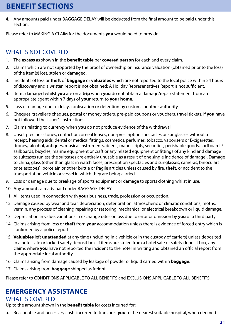4. Any amounts paid under BAGGAGE DELAY will be deducted from the final amount to be paid under this section.

Please refer to MAKING A CLAIM for the documents **you** would need to provide

### WHAT IS NOT COVERED

- 1. The **excess** as shown in the **benefit table** per **covered person** for each and every claim.
- 2. Claims which are not supported by the proof of ownership or insurance valuation (obtained prior to the loss) of the item(s) lost, stolen or damaged.
- 3. Incidents of loss or **theft** of **baggage** or **valuables** which are not reported to the local police within 24 hours of discovery and a written report is not obtained; A Holiday Representatives Report is not sufficient.
- 4. Items damaged whilst **you** are on a **trip** when **you** do not obtain a damage/repair statement from an appropriate agent within 7 days of **your** return to **your home**.
- 5. Loss or damage due to delay, confiscation or detention by customs or other authority.
- 6. Cheques, traveller's cheques, postal or money orders, pre-paid coupons or vouchers, travel tickets, if **you** have not followed the issuer's instructions.
- 7. Claims relating to currency when **you** do not produce evidence of the withdrawal.
- 8. Unset precious stones, contact or corneal lenses, non-prescription spectacles or sunglasses without a receipt, hearing aids, dental or medical fittings, cosmetics, perfumes, tobacco, vaporisers or E-cigarettes, drones, alcohol, antiques, musical instruments, deeds, manuscripts, securities, perishable goods, surfboards/ sailboards, bicycles, marine equipment or craft or any related equipment or fittings of any kind and damage to suitcases (unless the suitcases are entirely unusable as a result of one single incidence of damage). Damage to china, glass (other than glass in watch faces, prescription spectacles and sunglasses, cameras, binoculars or telescopes), porcelain or other brittle or fragile articles unless caused by fire, **theft**, or accident to the transportation vehicle or vessel in which they are being carried.
- 9. Loss or damage due to breakage of sports equipment or damage to sports clothing whilst in use.
- 10. Any amounts already paid under BAGGAGE DELAY.
- 11. All items used in connection with **your** business, trade, profession or occupation.
- 12. Damage caused by wear and tear, depreciation, deterioration, atmospheric or climatic conditions, moths, vermin, any process of cleaning repairing or restoring, mechanical or electrical breakdown or liquid damage.
- 13. Depreciation in value, variations in exchange rates or loss due to error or omission by **you** or a third party.
- 14. Claims arising from loss or **theft** from **your** accommodation unless there is evidence of forced entry which is confirmed by a police report.
- 15. **Valuables** left **unattended** at any time (including in a vehicle or in the custody of carriers) unless deposited in a hotel safe or locked safety deposit box. If items are stolen from a hotel safe or safety deposit box, any claims where **you** have not reported the incident to the hotel in writing and obtained an official report from the appropriate local authority.
- 16. Claims arising from damage caused by leakage of powder or liquid carried within **baggage**.
- 17. Claims arising from **baggage** shipped as freight

Please refer to CONDITIONS APPLICABLE TO ALL BENEFITS and EXCLUSIONS APPLICABLE TO ALL BENEFITS.

### **EMERGENCY ASSISTANCE**

#### WHAT IS COVERED

Up to the amount shown in the **benefit table** for costs incurred for:

a. Reasonable and necessary costs incurred to transport **you** to the nearest suitable hospital, when deemed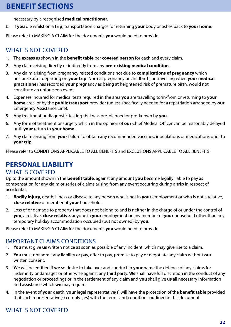necessary by a recognised **medical practitioner**.

b. If **you** die whilst on a **trip**, transportation charges for returning **your** body or ashes back to **your home**.

Please refer to MAKING A CLAIM for the documents **you** would need to provide

#### WHAT IS NOT COVERED

- 1. The **excess** as shown in the **benefit table** per **covered person** for each and every claim.
- 2. Any claim arising directly or indirectly from any **pre-existing medical condition**.
- 3. Any claim arising from pregnancy related conditions not due to **complications of pregnancy** which first arise after departing on **your trip**. Normal pregnancy or childbirth, or travelling when **your medical practitioner** has recorded **your** pregnancy as being at heightened risk of premature birth, would not constitute an unforeseen event.
- 4. Expenses incurred for medical tests required in the area **you** are travelling to/in/from or returning to **your home** area, or by the **public transport** provider (unless specifically needed for a repatriation arranged by **our** Emergency Assistance Line).
- 5. Any treatment or diagnostic testing that was pre-planned or pre-known by **you**.
- 6. Any form of treatment or surgery which in the opinion of **our** Chief Medical Officer can be reasonably delayed until **your** return to **your home**.
- 7. Any claim arising from **your** failure to obtain any recommended vaccines, inoculations or medications prior to **your trip**.

Please refer to CONDITIONS APPLICABLE TO ALL BENEFITS and EXCLUSIONS APPLICABLE TO ALL BENEFITS.

### **PERSONAL LIABILITY**

#### WHAT IS COVERED

Up to the amount shown in the **benefit table**, against any amount **you** become legally liable to pay as compensation for any claim or series of claims arising from any event occurring during a **trip** in respect of accidental:

- 1. **Bodily injury**, death, illness or disease to any person who is not in **your** employment or who is not a relative, **close relative** or member of **your** household.
- 2. Loss of or damage to property that does not belong to and is neither in the charge of or under the control of **you**, a relative, **close relative**, anyone in **your** employment or any member of **your** household other than any temporary holiday accommodation occupied (but not owned) by **you**.

Please refer to MAKING A CLAIM for the documents **you** would need to provide

#### IMPORTANT CLAIMS CONDITIONS

- 1. **You** must give **us** written notice as soon as possible of any incident, which may give rise to a claim.
- 2. **You** must not admit any liability or pay, offer to pay, promise to pay or negotiate any claim without **our** written consent.
- 3. **We** will be entitled if **we** so desire to take over and conduct in **your** name the defence of any claims for indemnity or damages or otherwise against any third party. **We** shall have full discretion in the conduct of any negotiation or proceedings or in the settlement of any claim and **you** shall give **us** all necessary information and assistance which **we** may require.
- 4. In the event of **your** death, **your** legal representative(s) will have the protection of the **benefit table** provided that such representative(s) comply (ies) with the terms and conditions outlined in this document.

### WHAT IS NOT COVERED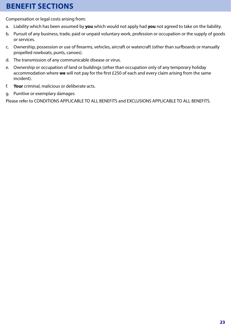Compensation or legal costs arising from:

- a. Liability which has been assumed by **you** which would not apply had **you** not agreed to take on the liability.
- b. Pursuit of any business, trade, paid or unpaid voluntary work, profession or occupation or the supply of goods or services.
- c. Ownership, possession or use of firearms, vehicles, aircraft or watercraft (other than surfboards or manually propelled rowboats, punts, canoes).
- d. The transmission of any communicable disease or virus.
- e. Ownership or occupation of land or buildings (other than occupation only of any temporary holiday accommodation where **we** will not pay for the first £250 of each and every claim arising from the same incident).
- f. **Your** criminal, malicious or deliberate acts.
- g. Punitive or exemplary damages

Please refer to CONDITIONS APPLICABLE TO ALL BENEFITS and EXCLUSIONS APPLICABLE TO ALL BENEFITS.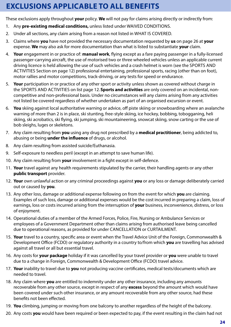# **EXCLUSIONS APPLICABLE TO ALL BENEFITS**

These exclusions apply throughout **your** policy. **We** will not pay for claims arising directly or indirectly from:

- 1. Any **pre-existing medical conditions,** unless listed under WAIVED CONDITIONS.
- 2. Under all sections, any claim arising from a reason not listed in WHAT IS COVERED.
- 3. Claims where **you** have not provided the necessary documentation requested by **us** on page 26 at **your** expense. **We** may also ask for more documentation than what is listed to substantiate **your** claim.
- 4. **Your** engagement in or practice of: **manual work**, flying except as a fare paying passenger in a fully-licensed passenger-carrying aircraft, the use of motorised two or three wheeled vehicles unless an applicable current driving licence is held allowing the use of such vehicles and a crash helmet is worn (see the SPORTS AND ACTIVITIES Section on page 12) professional entertaining, professional sports, racing (other than on foot), motor rallies and motor competitions, track-driving, or any tests for speed or endurance.
- 5. **Your** participation in or practice of any other sport or activity unless shown as covered without charge in the SPORTS AND ACTIVITIES on list page 12. **Sports and activities** are only covered on an incidental, noncompetitive and non-professional basis. Under no circumstances will any claims arising from any activities not listed be covered regardless of whether undertaken as part of an organised excursion or event.
- 6. **You** skiing against local authoritative warning or advice, off piste skiing or snowboarding where an avalanche warning of more than 2 is in place, ski stunting, free-style skiing, ice hockey, bobbing, tobogganing, heli skiing, ski acrobatics, ski flying, ski jumping, ski mountaineering, snowcat skiing, snow carting or the use of bob sleighs, luges or skeletons.
- 7. Any claim resulting from **you** using any drug not prescribed by a **medical practitioner**, being addicted to, abusing or being **under the influence** of drugs, or alcohol.
- 8. Any claim resulting from assisted suicide/Euthanasia.
- 9. Self-exposure to needless peril (except in an attempt to save human life).
- 10. Any claim resulting from **your** involvement in a fight except in self-defence.
- 11. **Your** travel against any health requirements stipulated by the carrier, their handling agents or any other **public transport** provider.
- 12. **Your** own unlawful action or any criminal proceedings against **you** or any loss or damage deliberately carried out or caused by **you**.
- 13. Any other loss, damage or additional expense following on from the event for which **you** are claiming. Examples of such loss, damage or additional expenses would be the cost incurred in preparing a claim, loss of earnings, loss or costs incurred arising from the interruption of **your** business, inconvenience, distress, or loss of enjoyment.
- 14. Operational duties of a member of the Armed Forces, Police, Fire, Nursing or Ambulance Services or employees of a Government Department other than claims arising from authorised leave being cancelled due to operational reasons, as provided for under CANCELLATION or CURTAILMENT.
- 15. **Your** travel to a country, specific area or event when the Travel Advice Unit of the Foreign, Commonwealth & Development Office (FCDO) or regulatory authority in a country to/from which **you** are travelling has advised against all travel or all but essential travel.
- 16. Any costs for **your package** holiday if it was cancelled by your travel provider or **you** were unable to travel due to a change in Foreign, Commonwealth & Development Office (FCDO) travel advice.
- 17. **Your** inability to travel due to **you** not producing vaccine certificates, medical tests/documents which are needed to travel.
- 18. Any claim where **you** are entitled to indemnity under any other insurance, including any amounts recoverable from any other source, except in respect of any **excess** beyond the amount which would have been covered under such other insurance, or any amount recoverable from any other source, had these benefits not been effected.
- 19. **You** climbing, jumping or moving from one balcony to another regardless of the height of the balcony.
- 20. Any costs **you** would have been required or been expected to pay, if the event resulting in the claim had not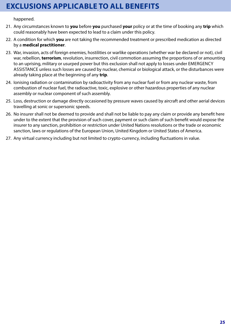## **EXCLUSIONS APPLICABLE TO ALL BENEFITS**

happened.

- 21. Any circumstances known to **you** before **you** purchased **your** policy or at the time of booking any **trip** which could reasonably have been expected to lead to a claim under this policy.
- 22. A condition for which **you** are not taking the recommended treatment or prescribed medication as directed by a **medical practitioner**.
- 23. War, invasion, acts of foreign enemies, hostilities or warlike operations (whether war be declared or not), civil war, rebellion, **terrorism**, revolution, insurrection, civil commotion assuming the proportions of or amounting to an uprising, military or usurped power but this exclusion shall not apply to losses under EMERGENCY ASSISTANCE unless such losses are caused by nuclear, chemical or biological attack, or the disturbances were already taking place at the beginning of any **trip**.
- 24. Ionising radiation or contamination by radioactivity from any nuclear fuel or from any nuclear waste, from combustion of nuclear fuel, the radioactive, toxic, explosive or other hazardous properties of any nuclear assembly or nuclear component of such assembly.
- 25. Loss, destruction or damage directly occasioned by pressure waves caused by aircraft and other aerial devices travelling at sonic or supersonic speeds.
- 26. No insurer shall not be deemed to provide and shall not be liable to pay any claim or provide any benefit here under to the extent that the provision of such cover, payment or such claim of such benefit would expose the insurer to any sanction, prohibition or restriction under United Nations resolutions or the trade or economic sanction, laws or regulations of the European Union, United Kingdom or United States of America.
- 27. Any virtual currency including but not limited to crypto-currency, including fluctuations in value.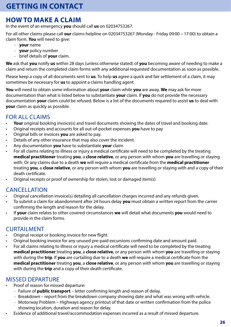### **HOW TO MAKE A CLAIM**

In the event of an emergency **you** should call **us** on 02034753267.

For all other claims please call **our** claims helpline on 02034753267 (Monday - Friday 09:00 – 17:00) to obtain a claim form. **You** will need to give:

- **your** name
- **your** policy number
- brief details of **your** claim.

**We** ask that **you** notify **us** within 28 days (unless otherwise stated) of **you** becoming aware of needing to make a claim and return the completed claim forms with any additional requested documentation as soon as possible.

Please keep a copy of all documents sent to **us**. To help **us** agree a quick and fair settlement of a claim, it may sometimes be necessary for **us** to appoint a claims handling agent.

**You** will need to obtain some information about **your** claim while **you** are away. **We** may ask for more documentation than what is listed below to substantiate **your** claim. If **you** do not provide the necessary documentation **your** claim could be refused. Below is a list of the documents required to assist **us** to deal with **your** claim as quickly as possible.

### FOR ALL CLAIMS

- Your original booking invoice(s) and travel documents showing the dates of travel and booking date.
- Original receipts and accounts for all out-of-pocket expenses **you** have to pay
- Original bills or invoices **you** are asked to pay.
- Details of any other insurance that may also cover the incident.
- Any documentation **you** have to substantiate **your** claim
- For all claims relating to illness or injury a medical certificate will need to be completed by the treating **medical practitioner** treating **you**, a **close relative**, or any person with whom **you** are travelling or staying with. Or any claims due to a death **we** will require a medical certificate from the **medical practitioner** treating **you**, a **close relative**, or any person with whom **you** are travelling or staying with and a copy of their death certificate.
- Original receipts or proof of ownership for stolen, lost or damaged item(s)

#### CANCELLATION

- Original cancellation invoice(s) detailing all cancellation charges incurred and any refunds given.
- To submit a claim for abandonment after 24 hours delay **you** must obtain a written report from the carrier confirming the length and reason for the delay.
- If **your** claim relates to other covered circumstances **we** will detail what documents **you** would need to provide in the claim forms.

#### CURTAILMENT

- Original receipt or booking invoice for new flight
- Original booking invoice for any unused pre-paid excursions confirming date and amount paid.
- For all claims relating to illness or injury a medical certificate will need to be completed by the treating **medical practitioner** treating **you**, a **close relative**, or any person with whom **you** are travelling or staying with during the **trip**. If **you** are curtailing due to a death **we** will require a medical certificate from the **medical practitioner** treating **you**, a **close relative**, or any person with whom **you** are travelling or staying with during the **trip** and a copy of their death certificate.

#### MISSED DEPARTURE

- Proof of reason for missed departure:
	- Failure of **public transport** letter confirming length and reason of delay.
	- Breakdown report from the breakdown company showing date and what was wrong with vehicle.
	- Motorway Problem Highways agency printout of that date or written confirmation from the police showing location, duration and reason for delay.
- Evidence of additional travel/accommodation expenses incurred as a result of missed departure.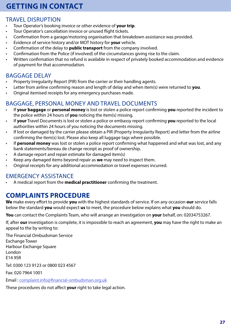# **GETTING IN CONTACT**

### TRAVEL DISRUPTION

- Tour Operator's booking invoice or other evidence of **your trip**.
- Tour Operator's cancellation invoice or unused flight tickets.
- Confirmation from a garage/motoring organisation that breakdown assistance was provided.
- Evidence of service history and/or MOT history for **your** vehicle.
- Confirmation of the delay to **public transport** from the company involved.
- Confirmation from the Police (if involved) of the circumstances giving rise to the claim.
- Written confirmation that no refund is available in respect of privately booked accommodation and evidence of payment for that accommodation.

### BAGGAGE DELAY

- Property Irregularity Report (PIR) from the carrier or their handling agents.
- Letter from airline confirming reason and length of delay and when item(s) were returned to **you**.
- Original itemised receipts for any emergency purchases made.

### BAGGAGE, PERSONAL MONEY AND TRAVEL DOCUMENTS

- If **your baggage** or **personal money** is lost or stolen a police report confirming **you** reported the incident to the police within 24 hours of **you** noticing the item(s) missing.
- If **your** Travel Documents is lost or stolen a police or embassy report confirming **you** reported to the local authorities within 24 hours of you noticing the documents missing.
- If lost or damaged by the carrier please obtain a PIR (Property Irregularity Report) and letter from the airline confirming the item(s) lost. Please also keep all luggage tags where possible.
- If **personal money** was lost or stolen a police report confirming what happened and what was lost, and any bank statements/bereau de change receipt as proof of ownership.
- A damage report and repair estimate for damaged item(s)
- Keep any damaged items beyond repair as **we** may need to inspect them.
- Original receipts for any additional accommodation or travel expenses incurred.

### EMERGENCY ASSISTANCE

• A medical report from the **medical practitioner** confirming the treatment.

### **COMPLAINTS PROCEDURE**

**We** make every effort to provide **you** with the highest standards of service. If on any occasion **our** service falls below the standard **you** would expect **us** to meet, the procedure below explains what **you** should do.

**You** can contact the Complaints Team, who will arrange an investigation on **your** behalf, on: 02034753267.

If, after **our** investigation is complete, it is impossible to reach an agreement, **you** may have the right to make an appeal to the by writing to:

The Financial Ombudsman Service Exchange Tower Harbour Exchange Square London E14 9SR Tel: 0300 123 9123 or 0800 023 4567 Fax: 020 7964 1001 Email : complaint.info@financial-ombudsman.org.uk

These procedures do not affect **your** right to take legal action.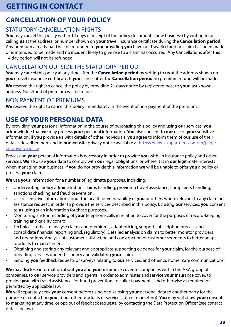### **GETTING IN CONTACT**

# **CANCELLATION OF YOUR POLICY**

### STATUTORY CANCELLATION RIGHTS

**You** may cancel this policy within 14 days of receipt of the policy documents (new business) by writing to or calling **us** at the address or number shown on **your** travel insurance certificate during the **Cancellation period**. Any premium already paid will be refunded to **you** providing **you** have not travelled and no claim has been made or is intended to be made and no incident likely to give rise to a claim has occurred. Any Cancellations after this 14 day period will not be refunded.

#### CANCELLATION OUTSIDE THE STATUTORY PERIOD

**You** may cancel this policy at any time after the **Cancellation period** by writing to **us** at the address shown on **your** travel insurance certificate. If **you** cancel after the **Cancellation period** no premium refund will be made.

**We** reserve the right to cancel the policy by providing 21 days notice by registered post to **your** last known address. No refund of premium will be made.

#### NON PAYMENT OF PREMIUMS

**We** reserve the right to cancel this policy immediately in the event of non payment of the premium.

### **USE OF YOUR PERSONAL DATA**

By providing **your** personal information in the course of purchasing this policy and using **our** services, **you** acknowledge that **we** may process **your** personal information. **You** also consent to **our** use of **your** sensitive information. If **you** provide **us** with details of other individuals, **you** agree to inform them of **our** use of their data as described here and in **our** website privacy notice available at https://www.axapartners.com/en/page/ en.privacy-policy.

Processing **your** personal information is necessary in order to provide **you** with an insurance policy and other services. **We** also use **your** data to comply with **our** legal obligations, or where it is in **our** legitimate interests when managing **our** business. If **you** do not provide this information **we** will be unable to offer **you** a policy or process **your** claim.

**We** use **your** information for a number of legitimate purposes, including:

- Underwriting, policy administration, claims handling, providing travel assistance, complaints handling, sanctions checking and fraud prevention.
- Use of sensitive information about the health or vulnerability of **you** or others where relevant to any claim or assistance request, in order to provide the services described in this policy. By using **our** services, **you** consent to **us** using such information for these purposes.
- Monitoring and/or recording of **your** telephone calls in relation to cover for the purposes of record-keeping, training and quality control.
- Technical studies to analyse claims and premiums, adapt pricing, support subscription process and consolidate financial reporting (incl. regulatory). Detailed analysis on claims to better monitor providers and operations. Analysis of customer satisfaction and construction of customer segments to better adapt products to market needs.
- Obtaining and storing any relevant and appropriate supporting evidence for **your** claim, for the purpose of providing services under this policy and validating **your** claim.
- Sending **you** feedback requests or surveys relating to **our** services, and other customer care communications.

**We** may disclose information about **you** and **your** insurance cover to companies within the AXA group of companies, to **our** service providers and agents in order to administer and service **your** insurance cover, to provide **you** with travel assistance, for fraud prevention, to collect payments, and otherwise as required or permitted by applicable law.

**We** will separately seek **your** consent before using or disclosing **your** personal data to another party for the purpose of contacting **you** about other products or services (direct marketing). **You** may withdraw **your** consent to marketing at any time, or opt-out of feedback requests, by contacting the Data Protection Officer (see contact details below).